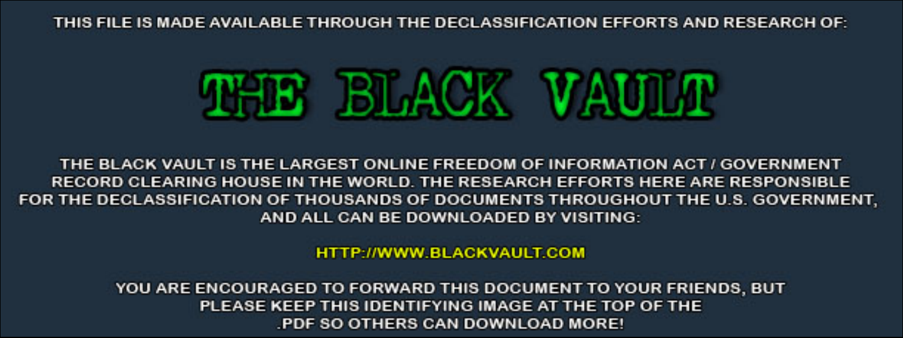THIS FILE IS MADE AVAILABLE THROUGH THE DECLASSIFICATION EFFORTS AND RESEARCH OF:



THE BLACK VAULT IS THE LARGEST ONLINE FREEDOM OF INFORMATION ACT / GOVERNMENT RECORD CLEARING HOUSE IN THE WORLD. THE RESEARCH EFFORTS HERE ARE RESPONSIBLE FOR THE DECLASSIFICATION OF THOUSANDS OF DOCUMENTS THROUGHOUT THE U.S. GOVERNMENT, AND ALL CAN BE DOWNLOADED BY VISITING:

**HTTP://WWW.BLACKVAULT.COM** 

YOU ARE ENCOURAGED TO FORWARD THIS DOCUMENT TO YOUR FRIENDS, BUT PLEASE KEEP THIS IDENTIFYING IMAGE AT THE TOP OF THE PDF SO OTHERS CAN DOWNLOAD MORE!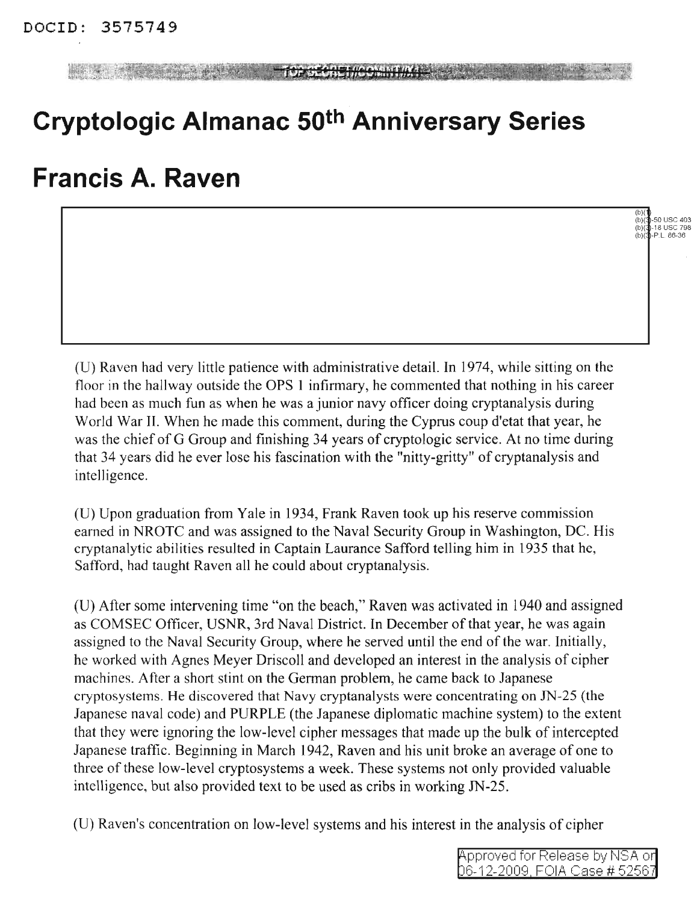**TOF SECRETHCOMMEMAGES** 

## **Cryptologic Almanac 50th Anniversary Series**

## **Francis A. Raven**

(U) Raven had very little patience with administrative detail. In 1974, while sitting on the floor in the hallway outside the OPS 1 infirmary, he commented that nothing in his career had been as much fun as when he was a junior navy officer doing cryptanalysis during World War II. When he made this comment, during the Cyprus coup d'etat that year, he was the chief of G Group and finishing 34 years of cryptologic service. At no time during that 34 years did he ever lose his fascination with the "nitty-gritty" of cryptanalysis and intelligence.

(U) Upon graduation from Yale in 1934, Frank Raven took up his reserve commission earned in NROTC and was assigned to the Naval Security Group in Washington, DC. His cryptanalytic abilities resulted in Captain Laurance Safford telling him in 1935 that he, Safford, had taught Raven all he could about cryptanalysis.

(U) After some intervening time "on the beach," Raven was activated in 1940 and assigned as COMSEC Officer, USNR, 3rd Naval District. In December of that year, he was again assigned to the Naval Security Group, where he served until the end of the war. Initially, he worked with Agnes Meyer Driscoll and developed an interest in the analysis of cipher machines. After a short stint on the German problem, he came back to Japanese cryptosystems. He discovered that Navy cryptanalysts were concentrating on IN-25 (the Japanese naval code) and PURPLE (the Japanese diplomatic machine system) to the extent that they were ignoring the low-level cipher messages that made up the bulk of intercepted Japanese traffic. Beginning in March 1942, Raven and his unit broke an average of one to three of these low-level cryptosystems a week. These systems not only provided valuable intelligence, but also provided text to be used as cribs in working IN-25.

(U) Raven's concentration on low-level systems and his interest in the analysis of cipher

(b)(¶)<br>(b)(¶-50 USC 403<br>(b)(¶-P.L. 86-36<br>(b)(¶-P.L. 86-36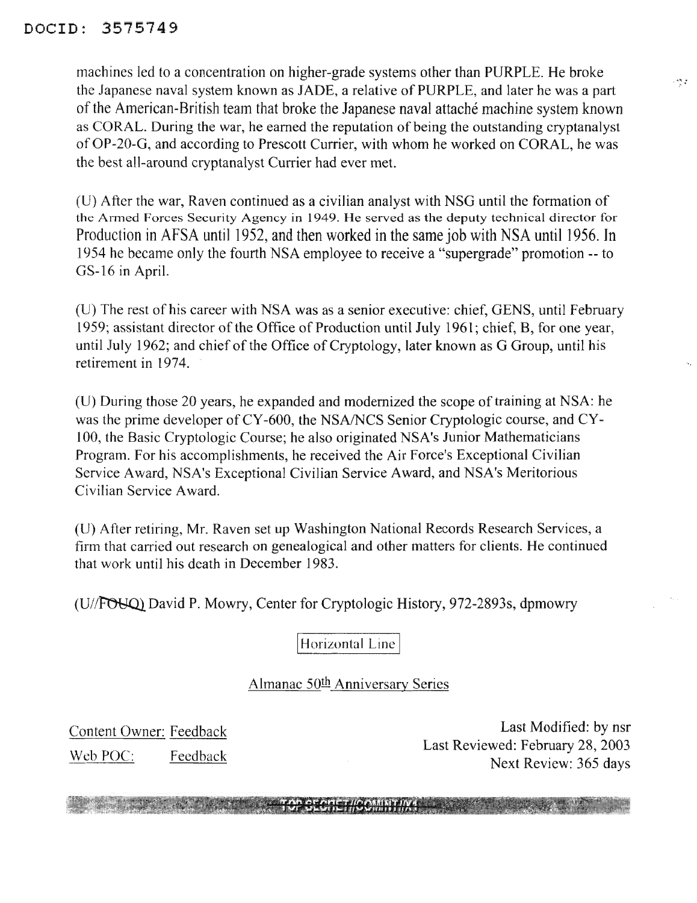## DOCID: 3575749

machines led to a concentration on higher-grade systems other than PURPLE. He broke the Japanese naval system known as JADE, a relative of PURPLE, and later he was a part of the American-British team that broke the Japanese naval attache machine system known as CORAL. During the war, he earned the reputation of being the outstanding cryptanalyst ofOP-20-G, and according to Prescott Currier, with whom he worked on CORAL, he was the best all-around cryptanalyst Currier had ever met.

(U) After the war, Raven continued as a civilian analyst with NSG until the formation of the Armed Forces Security Agency in 1949. He served as the deputy technical director for Production in AFSA until 1952, and then worked in the same job with NSA until 1956. **In** 1954 he became only the fourth NSA employee to receive a "supergrade" promotion -- to GS-16 in April.

(U) The rest of his career with NSA was as a senior executive: chief, GENS, until February 1959; assistant director of the Office of Production until July 1961; chief, B, for one year, until July 1962; and chief of the Office of Cryptology, later known as G Group, until his retirement in 1974.

 $(U)$  During those 20 years, he expanded and modernized the scope of training at NSA: he was the prime developer of CY-600, the NSA/NCS Senior Cryptologic course, and CY-100, the Basic Cryptologic Course; he also originated NSA's Junior Mathematicians Program. For his accomplishments, he received the Air Force's Exceptional Civilian Service Award, NSA's Exceptional Civilian Service Award, and NSA's Meritorious Civilian Service Award.

(U) After retiring, Mr. Raven set up Washington National Records Research Services, a firm that carried out research on genealogical and other matters for clients. He continued that work until his death in December 1983.

(U//FOUQ) David P. Mowry, Center for Cryptologic History, 972-2893s, dpmowry

Horizontal Line

## Almanac 50<sup>th</sup> Anniversary Series

**TAD CEORGT/IOAMMT/IVA** 

Content Owner: Feedback Web POC: Feedback

Last Modified: by nsr Last Reviewed: February 28,2003 Next Review: 365 days